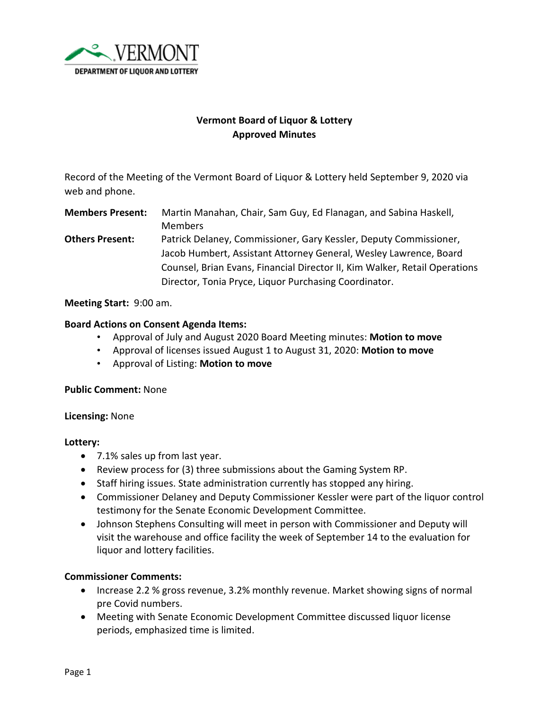

# **Vermont Board of Liquor & Lottery Approved Minutes**

Record of the Meeting of the Vermont Board of Liquor & Lottery held September 9, 2020 via web and phone.

**Members Present:** Martin Manahan, Chair, Sam Guy, Ed Flanagan, and Sabina Haskell, Members

**Others Present:** Patrick Delaney, Commissioner, Gary Kessler, Deputy Commissioner, Jacob Humbert, Assistant Attorney General, Wesley Lawrence, Board Counsel, Brian Evans, Financial Director II, Kim Walker, Retail Operations Director, Tonia Pryce, Liquor Purchasing Coordinator.

## **Meeting Start:** 9:00 am.

## **Board Actions on Consent Agenda Items:**

- Approval of July and August 2020 Board Meeting minutes: **Motion to move**
- Approval of licenses issued August 1 to August 31, 2020: **Motion to move**
- Approval of Listing: **Motion to move**

#### **Public Comment:** None

#### **Licensing:** None

# **Lottery:**

- 7.1% sales up from last year.
- Review process for (3) three submissions about the Gaming System RP.
- Staff hiring issues. State administration currently has stopped any hiring.
- Commissioner Delaney and Deputy Commissioner Kessler were part of the liquor control testimony for the Senate Economic Development Committee.
- Johnson Stephens Consulting will meet in person with Commissioner and Deputy will visit the warehouse and office facility the week of September 14 to the evaluation for liquor and lottery facilities.

# **Commissioner Comments:**

- Increase 2.2 % gross revenue, 3.2% monthly revenue. Market showing signs of normal pre Covid numbers.
- Meeting with Senate Economic Development Committee discussed liquor license periods, emphasized time is limited.